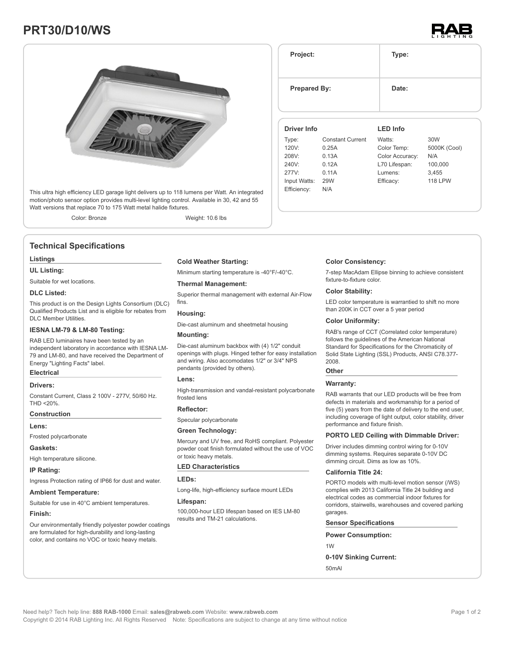# **PRT30/D10/WS**





This ultra high efficiency LED garage light delivers up to 118 lumens per Watt. An integrated motion/photo sensor option provides multi-level lighting control. Available in 30, 42 and 55 Watt versions that replace 70 to 175 Watt metal halide fixtures.

Color: Bronze Weight: 10.6 lbs

# **Technical Specifications**

#### **Listings**

### **UL Listing:**

Suitable for wet locations.

#### **DLC Listed:**

This product is on the Design Lights Consortium (DLC) Qualified Products List and is eligible for rebates from DLC Member Utilities.

#### **IESNA LM-79 & LM-80 Testing:**

RAB LED luminaires have been tested by an independent laboratory in accordance with IESNA LM-79 and LM-80, and have received the Department of Energy "Lighting Facts" label.

# **Electrical**

#### **Drivers:**

Constant Current, Class 2 100V - 277V, 50/60 Hz. THD <20%.

# **Construction**

**Lens:**

Frosted polycarbonate

#### **Gaskets:**

High temperature silicone.

#### **IP Rating:**

Ingress Protection rating of IP66 for dust and water.

#### **Ambient Temperature:**

Suitable for use in 40°C ambient temperatures.

#### **Finish:**

Our environmentally friendly polyester powder coatings are formulated for high-durability and long-lasting color, and contains no VOC or toxic heavy metals.

#### **Cold Weather Starting:**

Minimum starting temperature is -40°F/-40°C.

#### **Thermal Management:**

Superior thermal management with external Air-Flow fins.

#### **Housing:**

Die-cast aluminum and sheetmetal housing

#### **Mounting:**

Die-cast aluminum backbox with (4) 1/2" conduit openings with plugs. Hinged tether for easy installation and wiring. Also accomodates 1/2" or 3/4" NPS pendants (provided by others).

#### **Lens:**

High-transmission and vandal-resistant polycarbonate frosted lens

#### **Reflector:**

Specular polycarbonate

#### **Green Technology:**

Mercury and UV free, and RoHS compliant. Polyester powder coat finish formulated without the use of VOC or toxic heavy metals.

#### **LED Characteristics**

**LEDs:**

Long-life, high-efficiency surface mount LEDs

#### **Lifespan:**

100,000-hour LED lifespan based on IES LM-80 results and TM-21 calculations.

| <b>Prepared By:</b>         |                         | Date:                          |                     |
|-----------------------------|-------------------------|--------------------------------|---------------------|
| <b>Driver Info</b>          |                         | <b>LED</b> Info                |                     |
| Type:                       | <b>Constant Current</b> | Watts:                         | 30W                 |
| 120V:<br>208V:              | 0.25A<br>0.13A          | Color Temp:<br>Color Accuracy: | 5000K (Cool)<br>N/A |
| 240V:                       | 0.12A                   | L70 Lifespan:                  | 100,000             |
| 277V                        | 0.11A                   | Lumens:                        | 3,455               |
| Input Watts:<br>Efficiency: | <b>29W</b><br>N/A       | Efficacy:                      | <b>118 LPW</b>      |

**Project: Type:**

#### **Color Consistency:**

7-step MacAdam Ellipse binning to achieve consistent fixture-to-fixture color.

#### **Color Stability:**

LED color temperature is warrantied to shift no more than 200K in CCT over a 5 year period

### **Color Uniformity:**

RAB's range of CCT (Correlated color temperature) follows the guidelines of the American National Standard for Specifications for the Chromaticity of Solid State Lighting (SSL) Products, ANSI C78.377- 2008.

# **Other**

#### **Warranty:**

RAB warrants that our LED products will be free from defects in materials and workmanship for a period of five (5) years from the date of delivery to the end user, including coverage of light output, color stability, driver performance and fixture finish.

### **PORTO LED Ceiling with Dimmable Driver:**

Driver includes dimming control wiring for 0-10V dimming systems. Requires separate 0-10V DC dimming circuit. Dims as low as 10%.

#### **California Title 24:**

PORTO models with multi-level motion sensor (/WS) complies with 2013 California Title 24 building and electrical codes as commercial indoor fixtures for corridors, stairwells, warehouses and covered parking garages.

#### **Sensor Specifications**

**Power Consumption:**

1W

#### **0-10V Sinking Current:**

50mAl